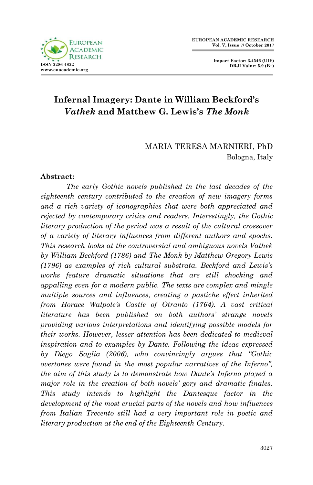



## **Infernal Imagery: Dante in William Beckford's**  *Vathek* **and Matthew G. Lewis's** *The Monk*

MARIA TERESA MARNIERI, PhD Bologna, Italy

## **Abstract:**

*The early Gothic novels published in the last decades of the eighteenth century contributed to the creation of new imagery forms and a rich variety of iconographies that were both appreciated and rejected by contemporary critics and readers. Interestingly, the Gothic literary production of the period was a result of the cultural crossover of a variety of literary influences from different authors and epochs. This research looks at the controversial and ambiguous novels Vathek by William Beckford (1786) and The Monk by Matthew Gregory Lewis (1796) as examples of rich cultural substrata. Beckford and Lewis's works feature dramatic situations that are still shocking and appalling even for a modern public. The texts are complex and mingle multiple sources and influences, creating a pastiche effect inherited from Horace Walpole's Castle of Otranto (1764). A vast critical literature has been published on both authors' strange novels providing various interpretations and identifying possible models for their works. However, lesser attention has been dedicated to medieval inspiration and to examples by Dante. Following the ideas expressed by Diego Saglia (2006), who convincingly argues that "Gothic overtones were found in the most popular narratives of the Inferno", the aim of this study is to demonstrate how Dante's Inferno played a major role in the creation of both novels' gory and dramatic finales. This study intends to highlight the Dantesque factor in the development of the most crucial parts of the novels and how influences from Italian Trecento still had a very important role in poetic and literary production at the end of the Eighteenth Century.*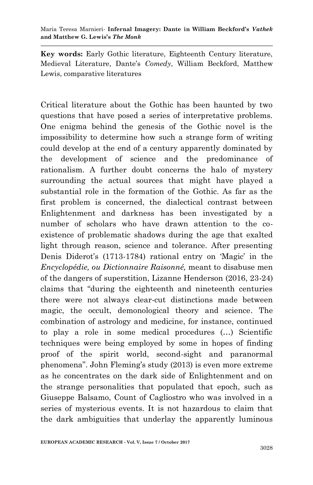**Key words:** Early Gothic literature, Eighteenth Century literature, Medieval Literature, Dante"s *Comedy*, William Beckford, Matthew Lewis, comparative literatures

Critical literature about the Gothic has been haunted by two questions that have posed a series of interpretative problems. One enigma behind the genesis of the Gothic novel is the impossibility to determine how such a strange form of writing could develop at the end of a century apparently dominated by the development of science and the predominance of rationalism. A further doubt concerns the halo of mystery surrounding the actual sources that might have played a substantial role in the formation of the Gothic. As far as the first problem is concerned, the dialectical contrast between Enlightenment and darkness has been investigated by a number of scholars who have drawn attention to the coexistence of problematic shadows during the age that exalted light through reason, science and tolerance. After presenting Denis Diderot's (1713-1784) rational entry on 'Magic' in the *Encyclopédie, ou Dictionnaire Raisonné,* meant to disabuse men of the dangers of superstition, Lizanne Henderson (2016, 23-24) claims that "during the eighteenth and nineteenth centuries there were not always clear-cut distinctions made between magic, the occult, demonological theory and science. The combination of astrology and medicine, for instance, continued to play a role in some medical procedures (…) Scientific techniques were being employed by some in hopes of finding proof of the spirit world, second-sight and paranormal phenomena". John Fleming"s study (2013) is even more extreme as he concentrates on the dark side of Enlightenment and on the strange personalities that populated that epoch, such as Giuseppe Balsamo, Count of Cagliostro who was involved in a series of mysterious events. It is not hazardous to claim that the dark ambiguities that underlay the apparently luminous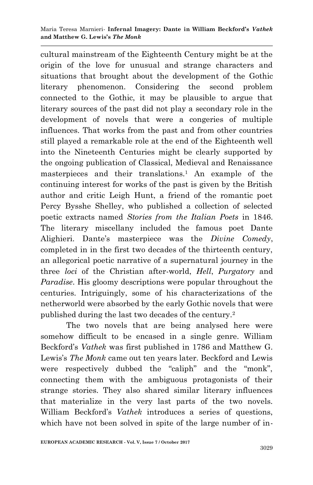cultural mainstream of the Eighteenth Century might be at the origin of the love for unusual and strange characters and situations that brought about the development of the Gothic literary phenomenon. Considering the second problem connected to the Gothic, it may be plausible to argue that literary sources of the past did not play a secondary role in the development of novels that were a congeries of multiple influences. That works from the past and from other countries still played a remarkable role at the end of the Eighteenth well into the Nineteenth Centuries might be clearly supported by the ongoing publication of Classical, Medieval and Renaissance masterpieces and their translations.<sup>1</sup> An example of the continuing interest for works of the past is given by the British author and critic Leigh Hunt, a friend of the romantic poet Percy Bysshe Shelley, who published a collection of selected poetic extracts named *Stories from the Italian Poets* in 1846. The literary miscellany included the famous poet Dante Alighieri. Dante"s masterpiece was the *Divine Comedy*, completed in in the first two decades of the thirteenth century, an allegorical poetic narrative of a supernatural journey in the three *loci* of the Christian after-world, *Hell*, *Purgatory* and *Paradise*. His gloomy descriptions were popular throughout the centuries. Intriguingly, some of his characterizations of the netherworld were absorbed by the early Gothic novels that were published during the last two decades of the century.<sup>2</sup>

The two novels that are being analysed here were somehow difficult to be encased in a single genre. William Beckford"s *Vathek* was first published in 1786 and Matthew G. Lewis's *The Monk* came out ten years later. Beckford and Lewis were respectively dubbed the "caliph" and the "monk", connecting them with the ambiguous protagonists of their strange stories. They also shared similar literary influences that materialize in the very last parts of the two novels. William Beckford"s *Vathek* introduces a series of questions, which have not been solved in spite of the large number of in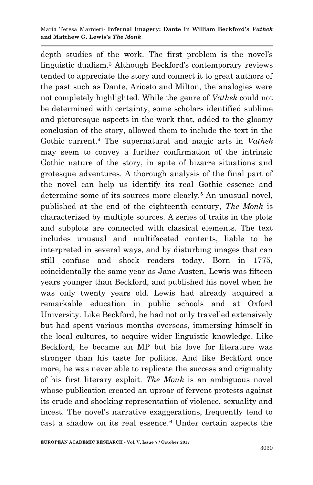depth studies of the work. The first problem is the novel"s linguistic dualism.<sup>3</sup> Although Beckford's contemporary reviews tended to appreciate the story and connect it to great authors of the past such as Dante, Ariosto and Milton, the analogies were not completely highlighted. While the genre of *Vathek* could not be determined with certainty, some scholars identified sublime and picturesque aspects in the work that, added to the gloomy conclusion of the story, allowed them to include the text in the Gothic current.<sup>4</sup> The supernatural and magic arts in *Vathek*  may seem to convey a further confirmation of the intrinsic Gothic nature of the story, in spite of bizarre situations and grotesque adventures. A thorough analysis of the final part of the novel can help us identify its real Gothic essence and determine some of its sources more clearly.<sup>5</sup> An unusual novel, published at the end of the eighteenth century, *The Monk* is characterized by multiple sources. A series of traits in the plots and subplots are connected with classical elements. The text includes unusual and multifaceted contents, liable to be interpreted in several ways, and by disturbing images that can still confuse and shock readers today. Born in 1775, coincidentally the same year as Jane Austen, Lewis was fifteen years younger than Beckford, and published his novel when he was only twenty years old. Lewis had already acquired a remarkable education in public schools and at Oxford University. Like Beckford, he had not only travelled extensively but had spent various months overseas, immersing himself in the local cultures, to acquire wider linguistic knowledge. Like Beckford, he became an MP but his love for literature was stronger than his taste for politics. And like Beckford once more, he was never able to replicate the success and originality of his first literary exploit. *The Monk* is an ambiguous novel whose publication created an uproar of fervent protests against its crude and shocking representation of violence, sexuality and incest. The novel"s narrative exaggerations, frequently tend to cast a shadow on its real essence.<sup>6</sup> Under certain aspects the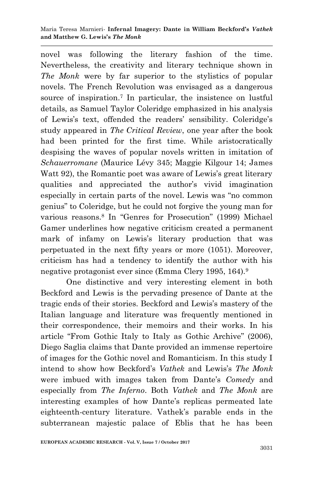novel was following the literary fashion of the time. Nevertheless, the creativity and literary technique shown in *The Monk* were by far superior to the stylistics of popular novels. The French Revolution was envisaged as a dangerous source of inspiration.<sup>7</sup> In particular, the insistence on lustful details, as Samuel Taylor Coleridge emphasized in his analysis of Lewis's text, offended the readers' sensibility. Coleridge's study appeared in *The Critical Review*, one year after the book had been printed for the first time. While aristocratically despising the waves of popular novels written in imitation of *Schauerromane* (Maurice Lévy 345; Maggie Kilgour 14; James Watt 92), the Romantic poet was aware of Lewis's great literary qualities and appreciated the author"s vivid imagination especially in certain parts of the novel. Lewis was "no common genius" to Coleridge, but he could not forgive the young man for various reasons.<sup>8</sup> In "Genres for Prosecution" (1999) Michael Gamer underlines how negative criticism created a permanent mark of infamy on Lewis's literary production that was perpetuated in the next fifty years or more (1051). Moreover, criticism has had a tendency to identify the author with his negative protagonist ever since (Emma Clery 1995, 164).<sup>9</sup>

One distinctive and very interesting element in both Beckford and Lewis is the pervading presence of Dante at the tragic ends of their stories. Beckford and Lewis"s mastery of the Italian language and literature was frequently mentioned in their correspondence, their memoirs and their works. In his article "From Gothic Italy to Italy as Gothic Archive" (2006), Diego Saglia claims that Dante provided an immense repertoire of images for the Gothic novel and Romanticism. In this study I intend to show how Beckford's *Vathek* and Lewis's *The Monk* were imbued with images taken from Dante"s *Comedy* and especially from *The Inferno*. Both *Vathek* and *The Monk* are interesting examples of how Dante's replicas permeated late eighteenth-century literature. Vathek"s parable ends in the subterranean majestic palace of Eblis that he has been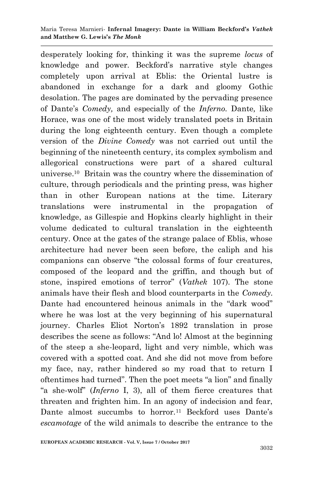desperately looking for, thinking it was the supreme *locus* of knowledge and power. Beckford"s narrative style changes completely upon arrival at Eblis: the Oriental lustre is abandoned in exchange for a dark and gloomy Gothic desolation. The pages are dominated by the pervading presence of Dante"s *Comedy,* and especially of the *Inferno.* Dante*,* like Horace, was one of the most widely translated poets in Britain during the long eighteenth century. Even though a complete version of the *Divine Comedy* was not carried out until the beginning of the nineteenth century, its complex symbolism and allegorical constructions were part of a shared cultural universe.<sup>10</sup> Britain was the country where the dissemination of culture, through periodicals and the printing press, was higher than in other European nations at the time. Literary translations were instrumental in the propagation of knowledge, as Gillespie and Hopkins clearly highlight in their volume dedicated to cultural translation in the eighteenth century. Once at the gates of the strange palace of Eblis, whose architecture had never been seen before, the caliph and his companions can observe "the colossal forms of four creatures, composed of the leopard and the griffin, and though but of stone, inspired emotions of terror" (*Vathek* 107). The stone animals have their flesh and blood counterparts in the *Comedy.* Dante had encountered heinous animals in the "dark wood" where he was lost at the very beginning of his supernatural journey. Charles Eliot Norton"s 1892 translation in prose describes the scene as follows: "And lo! Almost at the beginning of the steep a she-leopard, light and very nimble, which was covered with a spotted coat. And she did not move from before my face, nay, rather hindered so my road that to return I oftentimes had turned". Then the poet meets "a lion" and finally "a she-wolf" (*Inferno* I, 3), all of them fierce creatures that threaten and frighten him. In an agony of indecision and fear, Dante almost succumbs to horror.<sup>11</sup> Beckford uses Dante's *escamotage* of the wild animals to describe the entrance to the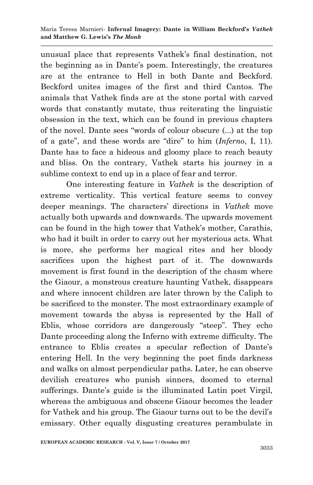unusual place that represents Vathek"s final destination, not the beginning as in Dante's poem. Interestingly, the creatures are at the entrance to Hell in both Dante and Beckford. Beckford unites images of the first and third Cantos. The animals that Vathek finds are at the stone portal with carved words that constantly mutate, thus reiterating the linguistic obsession in the text, which can be found in previous chapters of the novel. Dante sees "words of colour obscure (...) at the top of a gate", and these words are "dire" to him (*Inferno*, I, 11). Dante has to face a hideous and gloomy place to reach beauty and bliss. On the contrary, Vathek starts his journey in a sublime context to end up in a place of fear and terror.

One interesting feature in *Vathek* is the description of extreme verticality. This vertical feature seems to convey deeper meanings. The characters" directions in *Vathek* move actually both upwards and downwards. The upwards movement can be found in the high tower that Vathek"s mother, Carathis, who had it built in order to carry out her mysterious acts. What is more, she performs her magical rites and her bloody sacrifices upon the highest part of it. The downwards movement is first found in the description of the chasm where the Giaour, a monstrous creature haunting Vathek, disappears and where innocent children are later thrown by the Caliph to be sacrificed to the monster. The most extraordinary example of movement towards the abyss is represented by the Hall of Eblis, whose corridors are dangerously "steep". They echo Dante proceeding along the Inferno with extreme difficulty. The entrance to Eblis creates a specular reflection of Dante"s entering Hell. In the very beginning the poet finds darkness and walks on almost perpendicular paths. Later, he can observe devilish creatures who punish sinners, doomed to eternal sufferings. Dante's guide is the illuminated Latin poet Virgil, whereas the ambiguous and obscene Giaour becomes the leader for Vathek and his group. The Giaour turns out to be the devil"s emissary. Other equally disgusting creatures perambulate in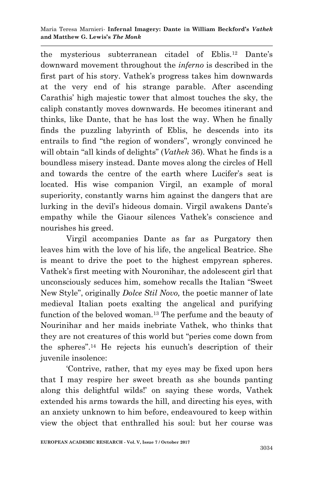the mysterious subterranean citadel of Eblis.<sup>12</sup> Dante's downward movement throughout the *inferno* is described in the first part of his story. Vathek"s progress takes him downwards at the very end of his strange parable. After ascending Carathis" high majestic tower that almost touches the sky, the caliph constantly moves downwards. He becomes itinerant and thinks, like Dante, that he has lost the way. When he finally finds the puzzling labyrinth of Eblis, he descends into its entrails to find "the region of wonders", wrongly convinced he will obtain "all kinds of delights" (*Vathek* 36). What he finds is a boundless misery instead. Dante moves along the circles of Hell and towards the centre of the earth where Lucifer's seat is located. His wise companion Virgil, an example of moral superiority, constantly warns him against the dangers that are lurking in the devil's hideous domain. Virgil awakens Dante's empathy while the Giaour silences Vathek"s conscience and nourishes his greed.

Virgil accompanies Dante as far as Purgatory then leaves him with the love of his life, the angelical Beatrice. She is meant to drive the poet to the highest empyrean spheres. Vathek"s first meeting with Nouronihar, the adolescent girl that unconsciously seduces him, somehow recalls the Italian "Sweet New Style", originally *Dolce Stil Novo,* the poetic manner of late medieval Italian poets exalting the angelical and purifying function of the beloved woman.<sup>13</sup> The perfume and the beauty of Nourinihar and her maids inebriate Vathek, who thinks that they are not creatures of this world but "peries come down from the spheres".<sup>14</sup> He rejects his eunuch's description of their juvenile insolence:

"Contrive, rather, that my eyes may be fixed upon hers that I may respire her sweet breath as she bounds panting along this delightful wilds!" on saying these words, Vathek extended his arms towards the hill, and directing his eyes, with an anxiety unknown to him before, endeavoured to keep within view the object that enthralled his soul: but her course was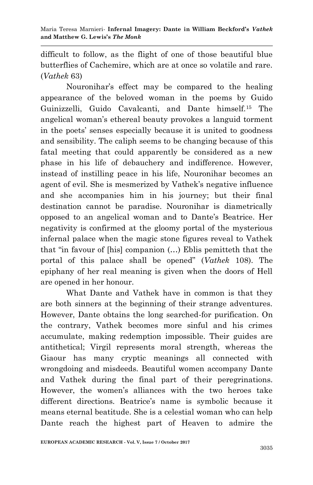difficult to follow, as the flight of one of those beautiful blue butterflies of Cachemire, which are at once so volatile and rare. (*Vathek* 63)

Nouronihar"s effect may be compared to the healing appearance of the beloved woman in the poems by Guido Guinizzelli, Guido Cavalcanti, and Dante himself.<sup>15</sup> The angelical woman"s ethereal beauty provokes a languid torment in the poets" senses especially because it is united to goodness and sensibility. The caliph seems to be changing because of this fatal meeting that could apparently be considered as a new phase in his life of debauchery and indifference. However, instead of instilling peace in his life, Nouronihar becomes an agent of evil. She is mesmerized by Vathek"s negative influence and she accompanies him in his journey; but their final destination cannot be paradise. Nouronihar is diametrically opposed to an angelical woman and to Dante"s Beatrice. Her negativity is confirmed at the gloomy portal of the mysterious infernal palace when the magic stone figures reveal to Vathek that "in favour of [his] companion (…) Eblis pemitteth that the portal of this palace shall be opened" (*Vathek* 108). The epiphany of her real meaning is given when the doors of Hell are opened in her honour.

What Dante and Vathek have in common is that they are both sinners at the beginning of their strange adventures. However, Dante obtains the long searched-for purification. On the contrary, Vathek becomes more sinful and his crimes accumulate, making redemption impossible. Their guides are antithetical; Virgil represents moral strength, whereas the Giaour has many cryptic meanings all connected with wrongdoing and misdeeds. Beautiful women accompany Dante and Vathek during the final part of their peregrinations. However, the women"s alliances with the two heroes take different directions. Beatrice's name is symbolic because it means eternal beatitude. She is a celestial woman who can help Dante reach the highest part of Heaven to admire the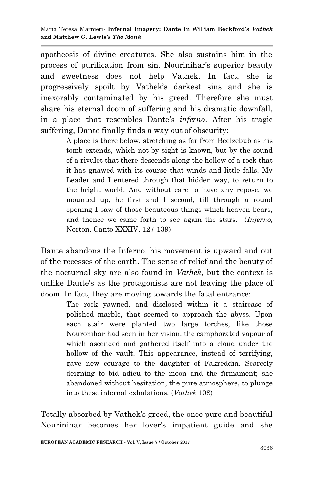apotheosis of divine creatures. She also sustains him in the process of purification from sin. Nourinihar"s superior beauty and sweetness does not help Vathek. In fact, she is progressively spoilt by Vathek"s darkest sins and she is inexorably contaminated by his greed. Therefore she must share his eternal doom of suffering and his dramatic downfall, in a place that resembles Dante's *inferno*. After his tragic suffering, Dante finally finds a way out of obscurity:

> A place is there below, stretching as far from Beelzebub as his tomb extends, which not by sight is known, but by the sound of a rivulet that there descends along the hollow of a rock that it has gnawed with its course that winds and little falls. My Leader and I entered through that hidden way, to return to the bright world. And without care to have any repose, we mounted up, he first and I second, till through a round opening I saw of those beauteous things which heaven bears, and thence we came forth to see again the stars. (*Inferno,* Norton, Canto XXXIV, 127-139)

Dante abandons the Inferno: his movement is upward and out of the recesses of the earth. The sense of relief and the beauty of the nocturnal sky are also found in *Vathek,* but the context is unlike Dante's as the protagonists are not leaving the place of doom. In fact, they are moving towards the fatal entrance:

> The rock yawned, and disclosed within it a staircase of polished marble, that seemed to approach the abyss. Upon each stair were planted two large torches, like those Nouronihar had seen in her vision: the camphorated vapour of which ascended and gathered itself into a cloud under the hollow of the vault. This appearance, instead of terrifying, gave new courage to the daughter of Fakreddin. Scarcely deigning to bid adieu to the moon and the firmament; she abandoned without hesitation, the pure atmosphere, to plunge into these infernal exhalations. (*Vathek* 108)

Totally absorbed by Vathek"s greed, the once pure and beautiful Nourinihar becomes her lover"s impatient guide and she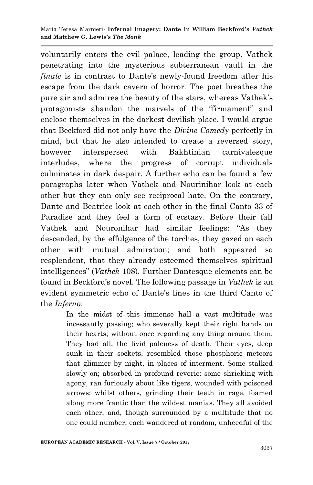voluntarily enters the evil palace, leading the group. Vathek penetrating into the mysterious subterranean vault in the *finale* is in contrast to Dante's newly-found freedom after his escape from the dark cavern of horror. The poet breathes the pure air and admires the beauty of the stars, whereas Vathek"s protagonists abandon the marvels of the "firmament" and enclose themselves in the darkest devilish place. I would argue that Beckford did not only have the *Divine Comedy* perfectly in mind, but that he also intended to create a reversed story, however interspersed with Bakhtinian carnivalesque interludes, where the progress of corrupt individuals culminates in dark despair. A further echo can be found a few paragraphs later when Vathek and Nourinihar look at each other but they can only see reciprocal hate. On the contrary, Dante and Beatrice look at each other in the final Canto 33 of Paradise and they feel a form of ecstasy. Before their fall Vathek and Nouronihar had similar feelings: "As they descended, by the effulgence of the torches, they gazed on each other with mutual admiration; and both appeared so resplendent, that they already esteemed themselves spiritual intelligences" (*Vathek* 108). Further Dantesque elements can be found in Beckford"s novel. The following passage in *Vathek* is an evident symmetric echo of Dante"s lines in the third Canto of the *Inferno*:

> In the midst of this immense hall a vast multitude was incessantly passing; who severally kept their right hands on their hearts; without once regarding any thing around them. They had all, the livid paleness of death. Their eyes, deep sunk in their sockets, resembled those phosphoric meteors that glimmer by night, in places of interment. Some stalked slowly on; absorbed in profound reverie: some shrieking with agony, ran furiously about like tigers, wounded with poisoned arrows; whilst others, grinding their teeth in rage, foamed along more frantic than the wildest manias. They all avoided each other, and, though surrounded by a multitude that no one could number, each wandered at random, unheedful of the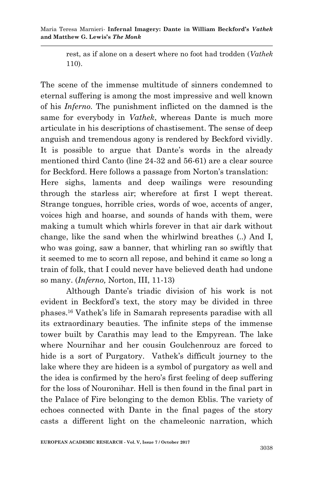Maria Teresa Marnieri*-* **Infernal Imagery: Dante in William Beckford's** *Vathek* **and Matthew G. Lewis's** *The Monk*

> rest, as if alone on a desert where no foot had trodden (*Vathek*  110).

The scene of the immense multitude of sinners condemned to eternal suffering is among the most impressive and well known of his *Inferno.* The punishment inflicted on the damned is the same for everybody in *Vathek*, whereas Dante is much more articulate in his descriptions of chastisement. The sense of deep anguish and tremendous agony is rendered by Beckford vividly. It is possible to argue that Dante's words in the already mentioned third Canto (line 24-32 and 56-61) are a clear source for Beckford. Here follows a passage from Norton's translation: Here sighs, laments and deep wailings were resounding through the starless air; wherefore at first I wept thereat. Strange tongues, horrible cries, words of woe, accents of anger, voices high and hoarse, and sounds of hands with them, were making a tumult which whirls forever in that air dark without change, like the sand when the whirlwind breathes (..) And I, who was going, saw a banner, that whirling ran so swiftly that it seemed to me to scorn all repose, and behind it came so long a train of folk, that I could never have believed death had undone so many. (*Inferno,* Norton, III, 11-13)

Although Dante"s triadic division of his work is not evident in Beckford"s text, the story may be divided in three phases.<sup>16</sup> Vathek"s life in Samarah represents paradise with all its extraordinary beauties. The infinite steps of the immense tower built by Carathis may lead to the Empyrean. The lake where Nournihar and her cousin Goulchenrouz are forced to hide is a sort of Purgatory. Vathek's difficult journey to the lake where they are hideen is a symbol of purgatory as well and the idea is confirmed by the hero"s first feeling of deep suffering for the loss of Nouronihar. Hell is then found in the final part in the Palace of Fire belonging to the demon Eblis. The variety of echoes connected with Dante in the final pages of the story casts a different light on the chameleonic narration, which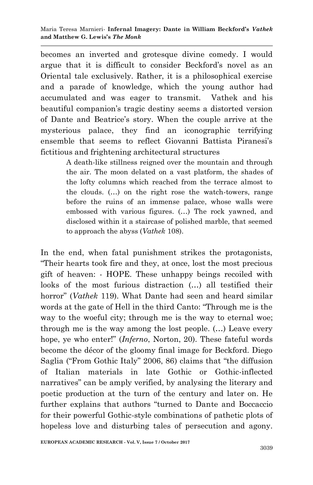becomes an inverted and grotesque divine comedy. I would argue that it is difficult to consider Beckford"s novel as an Oriental tale exclusively. Rather, it is a philosophical exercise and a parade of knowledge, which the young author had accumulated and was eager to transmit. Vathek and his beautiful companion"s tragic destiny seems a distorted version of Dante and Beatrice"s story. When the couple arrive at the mysterious palace, they find an iconographic terrifying ensemble that seems to reflect Giovanni Battista Piranesi"s fictitious and frightening architectural structures

> A death-like stillness reigned over the mountain and through the air. The moon delated on a vast platform, the shades of the lofty columns which reached from the terrace almost to the clouds. (…) on the right rose the watch-towers, range before the ruins of an immense palace, whose walls were embossed with various figures. (…) The rock yawned, and disclosed within it a staircase of polished marble, that seemed to approach the abyss (*Vathek* 108).

In the end, when fatal punishment strikes the protagonists, "Their hearts took fire and they, at once, lost the most precious gift of heaven: - HOPE. These unhappy beings recoiled with looks of the most furious distraction (…) all testified their horror" (*Vathek* 119). What Dante had seen and heard similar words at the gate of Hell in the third Canto: "Through me is the way to the woeful city; through me is the way to eternal woe; through me is the way among the lost people. (…) Leave every hope, ye who enter!" (*Inferno*, Norton, 20). These fateful words become the décor of the gloomy final image for Beckford. Diego Saglia ("From Gothic Italy" 2006, 86) claims that "the diffusion of Italian materials in late Gothic or Gothic-inflected narratives" can be amply verified, by analysing the literary and poetic production at the turn of the century and later on. He further explains that authors "turned to Dante and Boccaccio for their powerful Gothic-style combinations of pathetic plots of hopeless love and disturbing tales of persecution and agony.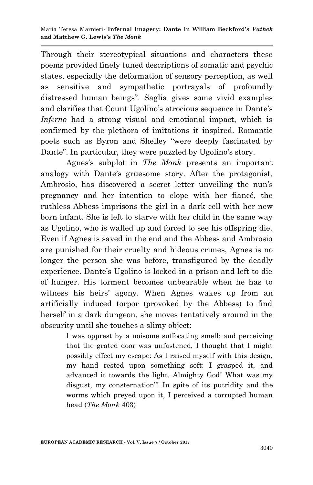Through their stereotypical situations and characters these poems provided finely tuned descriptions of somatic and psychic states, especially the deformation of sensory perception, as well as sensitive and sympathetic portrayals of profoundly distressed human beings". Saglia gives some vivid examples and clarifies that Count Ugolino's atrocious sequence in Dante's *Inferno* had a strong visual and emotional impact, which is confirmed by the plethora of imitations it inspired. Romantic poets such as Byron and Shelley "were deeply fascinated by Dante". In particular, they were puzzled by Ugolino's story.

Agnes"s subplot in *The Monk* presents an important analogy with Dante"s gruesome story. After the protagonist, Ambrosio, has discovered a secret letter unveiling the nun's pregnancy and her intention to elope with her fiancé, the ruthless Abbess imprisons the girl in a dark cell with her new born infant. She is left to starve with her child in the same way as Ugolino, who is walled up and forced to see his offspring die. Even if Agnes is saved in the end and the Abbess and Ambrosio are punished for their cruelty and hideous crimes, Agnes is no longer the person she was before, transfigured by the deadly experience. Dante's Ugolino is locked in a prison and left to die of hunger. His torment becomes unbearable when he has to witness his heirs' agony. When Agnes wakes up from an artificially induced torpor (provoked by the Abbess) to find herself in a dark dungeon, she moves tentatively around in the obscurity until she touches a slimy object:

> I was opprest by a noisome suffocating smell; and perceiving that the grated door was unfastened, I thought that I might possibly effect my escape: As I raised myself with this design, my hand rested upon something soft: I grasped it, and advanced it towards the light. Almighty God! What was my disgust, my consternation"! In spite of its putridity and the worms which preyed upon it, I perceived a corrupted human head (*The Monk* 403)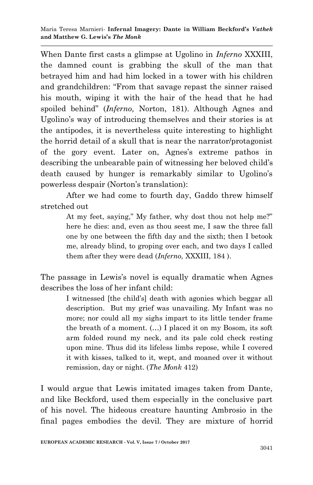When Dante first casts a glimpse at Ugolino in *Inferno* XXXIII, the damned count is grabbing the skull of the man that betrayed him and had him locked in a tower with his children and grandchildren: "From that savage repast the sinner raised his mouth, wiping it with the hair of the head that he had spoiled behind" (*Inferno,* Norton, 181). Although Agnes and Ugolino"s way of introducing themselves and their stories is at the antipodes, it is nevertheless quite interesting to highlight the horrid detail of a skull that is near the narrator/protagonist of the gory event. Later on, Agnes"s extreme pathos in describing the unbearable pain of witnessing her beloved child"s death caused by hunger is remarkably similar to Ugolino's powerless despair (Norton"s translation):

After we had come to fourth day, Gaddo threw himself stretched out

> At my feet, saying," My father, why dost thou not help me?" here he dies: and, even as thou seest me, I saw the three fall one by one between the fifth day and the sixth; then I betook me, already blind, to groping over each, and two days I called them after they were dead (*Inferno,* XXXIII, 184 ).

The passage in Lewis's novel is equally dramatic when Agnes describes the loss of her infant child:

> I witnessed [the child"s] death with agonies which beggar all description. But my grief was unavailing. My Infant was no more; nor could all my sighs impart to its little tender frame the breath of a moment. (…) I placed it on my Bosom, its soft arm folded round my neck, and its pale cold check resting upon mine. Thus did its lifeless limbs repose, while I covered it with kisses, talked to it, wept, and moaned over it without remission, day or night. (*The Monk* 412)

I would argue that Lewis imitated images taken from Dante, and like Beckford, used them especially in the conclusive part of his novel. The hideous creature haunting Ambrosio in the final pages embodies the devil. They are mixture of horrid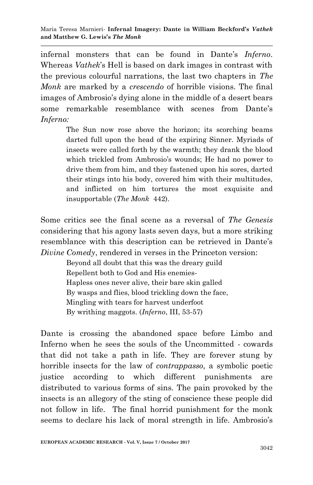infernal monsters that can be found in Dante's *Inferno*. Whereas *Vathek*"s Hell is based on dark images in contrast with the previous colourful narrations, the last two chapters in *The Monk* are marked by a *crescendo* of horrible visions. The final images of Ambrosio's dying alone in the middle of a desert bears some remarkable resemblance with scenes from Dante's *Inferno:*

> The Sun now rose above the horizon; its scorching beams darted full upon the head of the expiring Sinner. Myriads of insects were called forth by the warmth; they drank the blood which trickled from Ambrosio's wounds; He had no power to drive them from him, and they fastened upon his sores, darted their stings into his body, covered him with their multitudes, and inflicted on him tortures the most exquisite and insupportable (*The Monk* 442).

Some critics see the final scene as a reversal of *The Genesis* considering that his agony lasts seven days, but a more striking resemblance with this description can be retrieved in Dante"s *Divine Comedy*, rendered in verses in the Princeton version:

> Beyond all doubt that this was the dreary guild Repellent both to God and His enemies-Hapless ones never alive, their bare skin galled By wasps and flies, blood trickling down the face, Mingling with tears for harvest underfoot By writhing maggots. (*Inferno*, III, 53-57)

Dante is crossing the abandoned space before Limbo and Inferno when he sees the souls of the Uncommitted - cowards that did not take a path in life. They are forever stung by horrible insects for the law of *contrappasso,* a symbolic poetic justice according to which different punishments are distributed to various forms of sins. The pain provoked by the insects is an allegory of the sting of conscience these people did not follow in life. The final horrid punishment for the monk seems to declare his lack of moral strength in life. Ambrosio's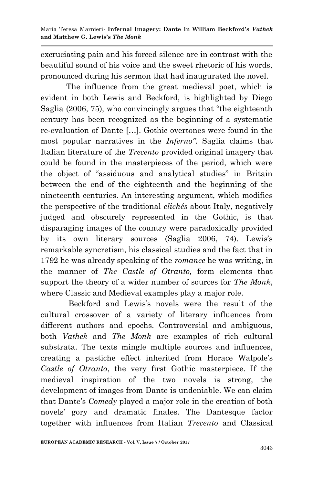excruciating pain and his forced silence are in contrast with the beautiful sound of his voice and the sweet rhetoric of his words, pronounced during his sermon that had inaugurated the novel.

The influence from the great medieval poet, which is evident in both Lewis and Beckford, is highlighted by Diego Saglia (2006, 75), who convincingly argues that "the eighteenth century has been recognized as the beginning of a systematic re-evaluation of Dante […]. Gothic overtones were found in the most popular narratives in the *Inferno"*. Saglia claims that Italian literature of the *Trecento* provided original imagery that could be found in the masterpieces of the period, which were the object of "assiduous and analytical studies" in Britain between the end of the eighteenth and the beginning of the nineteenth centuries. An interesting argument, which modifies the perspective of the traditional *clichés* about Italy, negatively judged and obscurely represented in the Gothic, is that disparaging images of the country were paradoxically provided by its own literary sources (Saglia 2006, 74). Lewis"s remarkable syncretism, his classical studies and the fact that in 1792 he was already speaking of the *romance* he was writing, in the manner of *The Castle of Otranto,* form elements that support the theory of a wider number of sources for *The Monk*, where Classic and Medieval examples play a major role.

Beckford and Lewis"s novels were the result of the cultural crossover of a variety of literary influences from different authors and epochs. Controversial and ambiguous, both *Vathek* and *The Monk* are examples of rich cultural substrata. The texts mingle multiple sources and influences, creating a pastiche effect inherited from Horace Walpole"s *Castle of Otranto*, the very first Gothic masterpiece. If the medieval inspiration of the two novels is strong, the development of images from Dante is undeniable. We can claim that Dante"s *Comedy* played a major role in the creation of both novels" gory and dramatic finales. The Dantesque factor together with influences from Italian *Trecento* and Classical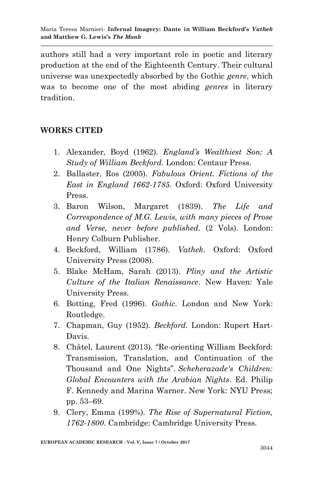authors still had a very important role in poetic and literary production at the end of the Eighteenth Century. Their cultural universe was unexpectedly absorbed by the Gothic *genre*, which was to become one of the most abiding *genres* in literary tradition.

## **WORKS CITED**

- 1. Alexander, Boyd (1962). *England's Wealthiest Son: A Study of William Beckford.* London: Centaur Press.
- 2. Ballaster, Ros (2005). *Fabulous Orient. Fictions of the East in England 1662-1785.* Oxford: Oxford University Press.
- 3. Baron Wilson, Margaret (1839). *The Life and Correspondence of M.G. Lewis, with many pieces of Prose and Verse, never before published.* (2 Vols). London: Henry Colburn Publisher.
- 4. Beckford, William (1786). *Vathek.* Oxford: Oxford University Press (2008).
- 5. Blake McHam, Sarah (2013). *Pliny and the Artistic Culture of the Italian Renaissance*. New Haven: Yale University Press.
- 6. Botting, Fred (1996). *Gothic.* London and New York: Routledge.
- 7. Chapman, Guy (1952). *Beckford.* London: Rupert Hart-Davis.
- 8. Châtel, Laurent (2013). "Re-orienting William Beckford: Transmission, Translation, and Continuation of the Thousand and One Nights". *Scheherazade's Children: Global Encounters with the Arabian Nights*. Ed. Philip F. Kennedy and Marina Warner. New York: NYU Press; pp. 53–69.
- 9. Clery, Emma (199%). *The Rise of Supernatural Fiction, 1762-1800.* Cambridge: Cambridge University Press.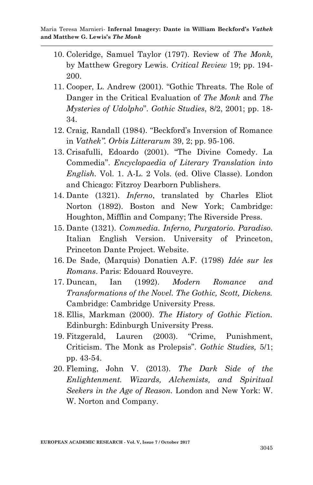- 10. Coleridge, Samuel Taylor (1797). Review of *The Monk,*  by Matthew Gregory Lewis. *Critical Review* 19; pp. 194- 200.
- 11. Cooper, L. Andrew (2001). "Gothic Threats. The Role of Danger in the Critical Evaluation of *The Monk* and *The Mysteries of Udolpho*". *Gothic Studies*, 8/2, 2001; pp. 18- 34.
- 12. Craig, Randall (1984). "Beckford"s Inversion of Romance in *Vathek". Orbis Litterarum* 39, 2; pp. 95-106.
- 13. Crisafulli, Edoardo (2001). "The Divine Comedy. La Commedia". *Encyclopaedia of Literary Translation into English.* Vol. 1. A-L. 2 Vols. (ed. Olive Classe). London and Chicago: Fitzroy Dearborn Publishers.
- 14. Dante (1321). *Inferno*, translated by Charles Eliot Norton (1892). Boston and New York; Cambridge: Houghton, Mifflin and Company; The Riverside Press.
- 15. Dante (1321). *Commedia. Inferno, Purgatorio. Paradiso.*  Italian English Version. University of Princeton, Princeton Dante Project. Website.
- 16. De Sade, (Marquis) Donatien A.F. (1798) *Idée sur les Romans*. Paris: Edouard Rouveyre.
- 17. Duncan, Ian (1992). *Modern Romance and Transformations of the Novel. The Gothic, Scott, Dickens.*  Cambridge: Cambridge University Press.
- 18. Ellis, Markman (2000). *The History of Gothic Fiction.*  Edinburgh: Edinburgh University Press.
- 19. Fitzgerald, Lauren (2003). "Crime, Punishment, Criticism. The Monk as Prolepsis". *Gothic Studies,* 5/1; pp. 43-54.
- 20. Fleming, John V. (2013). *The Dark Side of the Enlightenment. Wizards, Alchemists, and Spiritual Seekers in the Age of Reason.* London and New York: W. W. Norton and Company.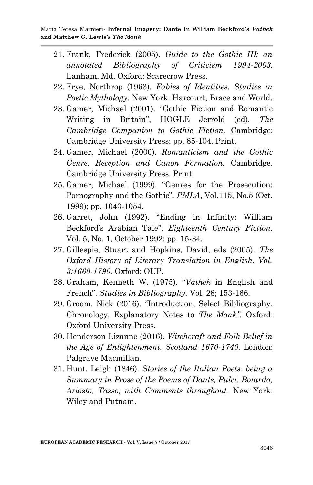- 21. Frank, Frederick (2005). *Guide to the Gothic III: an annotated Bibliography of Criticism 1994-2003.*  Lanham, Md, Oxford: Scarecrow Press.
- 22. Frye, Northrop (1963). *Fables of Identities. Studies in Poetic Mythology*. New York: Harcourt, Brace and World.
- 23. Gamer, Michael (2001). "Gothic Fiction and Romantic Writing in Britain", HOGLE Jerrold (ed). *The Cambridge Companion to Gothic Fiction.* Cambridge: Cambridge University Press; pp. 85-104. Print.
- 24. Gamer, Michael (2000). *Romanticism and the Gothic Genre. Reception and Canon Formation.* Cambridge. Cambridge University Press. Print.
- 25. Gamer, Michael (1999). "Genres for the Prosecution: Pornography and the Gothic". *PMLA*, Vol.115, No.5 (Oct. 1999); pp. 1043-1054.
- 26. Garret, John (1992). "Ending in Infinity: William Beckford"s Arabian Tale". *Eighteenth Century Fiction.* Vol. 5, No. 1, October 1992; pp. 15-34.
- 27. Gillespie, Stuart and Hopkins, David, eds (2005). *The Oxford History of Literary Translation in English. Vol. 3:1660-1790.* Oxford: OUP.
- 28. Graham, Kenneth W. (1975). "*Vathek* in English and French". *Studies in Bibliography.* Vol. 28; 153-166.
- 29. Groom, Nick (2016). "Introduction, Select Bibliography, Chronology, Explanatory Notes to *The Monk".* Oxford: Oxford University Press.
- 30. Henderson Lizanne (2016). *Witchcraft and Folk Belief in the Age of Enlightenment. Scotland 1670-1740.* London: Palgrave Macmillan.
- 31. Hunt, Leigh (1846). *Stories of the Italian Poets: being a Summary in Prose of the Poems of Dante, Pulci, Boiardo, Ariosto, Tasso; with Comments throughout*. New York: Wiley and Putnam.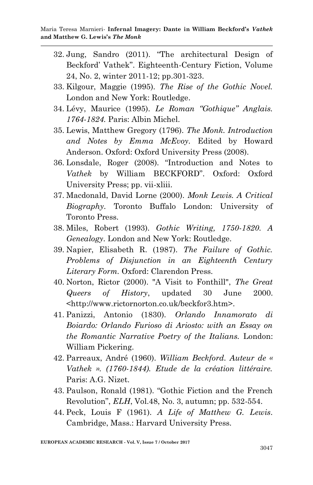- 32. Jung, Sandro (2011). "The architectural Design of Beckford" Vathek". Eighteenth-Century Fiction, Volume 24, No. 2, winter 2011-12; pp.301-323.
- 33. Kilgour, Maggie (1995). *The Rise of the Gothic Novel.* London and New York: Routledge.
- 34. Lévy, Maurice (1995). *Le Roman "Gothique" Anglais. 1764-1824.* Paris: Albin Michel.
- 35. Lewis, Matthew Gregory (1796). *The Monk. Introduction and Notes by Emma McEvoy.* Edited by Howard Anderson. Oxford: Oxford University Press (2008).
- 36. Lonsdale, Roger (2008). "Introduction and Notes to *Vathek* by William BECKFORD". Oxford: Oxford University Press; pp. vii-xliii.
- 37. Macdonald, David Lorne (2000). *Monk Lewis. A Critical Biography.* Toronto Buffalo London: University of Toronto Press.
- 38. Miles, Robert (1993). *Gothic Writing, 1750-1820. A Genealogy.* London and New York: Routledge.
- 39. Napier, Elisabeth R. (1987). *The Failure of Gothic. Problems of Disjunction in an Eighteenth Century Literary Form.* Oxford: Clarendon Press.
- 40. Norton, Rictor (2000). "A Visit to Fonthill", *The Great Queers of History*, updated 30 June 2000. <http://www.rictornorton.co.uk/beckfor3.htm>.
- 41. Panizzi, Antonio (1830). *Orlando Innamorato di Boiardo: Orlando Furioso di Ariosto: with an Essay on the Romantic Narrative Poetry of the Italians.* London: William Pickering.
- 42. Parreaux, André (1960). *William Beckford. Auteur de « Vathek ». (1760-1844). Etude de la création littéraire.*  Paris: A.G. Nizet.
- 43. Paulson, Ronald (1981). "Gothic Fiction and the French Revolution", *ELH*, Vol.48, No. 3, autumn; pp. 532-554.
- 44. Peck, Louis F (1961). *A Life of Matthew G. Lewis*. Cambridge, Mass.: Harvard University Press.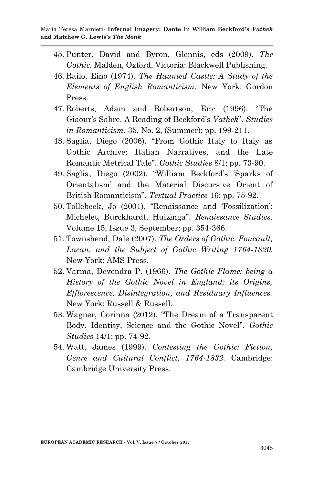- 45. Punter, David and Byron, Glennis, eds (2009). *The Gothic.* Malden, Oxford, Victoria: Blackwell Publishing.
- 46. Railo, Eino (1974). *The Haunted Castle: A Study of the Elements of English Romanticism.* New York: Gordon Press.
- 47. Roberts, Adam and Robertson, Eric (1996). "The Giaour"s Sabre. A Reading of Beckford"s *Vathek*". *Studies in Romanticism.* 35, No. 2, (Summer); pp. 199-211.
- 48. Saglia, Diego (2006). "From Gothic Italy to Italy as Gothic Archive: Italian Narratives, and the Late Romantic Metrical Tale". *Gothic Studies* 8/1; pp. 73-90.
- 49. Saglia, Diego (2002). "William Beckford"s "Sparks of Orientalism" and the Material Discursive Orient of British Romanticism". *Textual Practice* 16; pp. 75-92.
- 50. Tollebeek, Jo (2001). "Renaissance and "Fossilization": Michelet, Burckhardt, Huizinga". *Renaissance Studies*. Volume 15, Issue 3, September; pp. 354-366.
- 51. Townshend, Dale (2007). *The Orders of Gothic. Foucault, Lacan, and the Subject of Gothic Writing 1764-1820.* New York: AMS Press.
- 52. Varma, Devendra P. (1966). *The Gothic Flame: being a History of the Gothic Novel in England: its Origins, Efflorescence, Disintegration, and Residuary Influences.*  New York: Russell & Russell.
- 53. Wagner, Corinna (2012). "The Dream of a Transparent Body. Identity, Science and the Gothic Novel". *Gothic Studies* 14/1; pp. 74-92.
- 54. Watt, James (1999). *Contesting the Gothic: Fiction, Genre and Cultural Conflict, 1764-1832.* Cambridge: Cambridge University Press.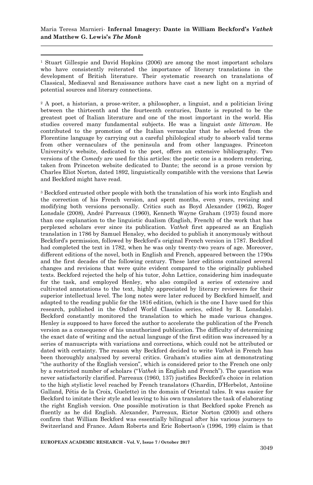1 <sup>1</sup> Stuart Gillespie and David Hopkins (2006) are among the most important scholars who have consistently reiterated the importance of literary translations in the development of British literature. Their systematic research on translations of Classical, Mediaeval and Renaissance authors have cast a new light on a myriad of potential sources and literary connections.

<sup>2</sup> A poet, a historian, a prose-writer, a philosopher, a linguist, and a politician living between the thirteenth and the fourteenth centuries, Dante is reputed to be the greatest poet of Italian literature and one of the most important in the world. His studies covered many fundamental subjects. He was a linguist *ante litteram*. He contributed to the promotion of the Italian vernacular that he selected from the Florentine language by carrying out a careful philological study to absorb valid terms from other vernaculars of the peninsula and from other languages. Princeton University"s website, dedicated to the poet, offers an extensive bibliography. Two versions of the *Comedy* are used for this articles: the poetic one is a modern rendering, taken from Princeton website dedicated to Dante; the second is a prose version by Charles Eliot Norton, dated 1892, linguistically compatible with the versions that Lewis and Beckford might have read.

<sup>3</sup> Beckford entrusted other people with both the translation of his work into English and the correction of his French version, and spent months, even years, revising and modifying both versions personally. Critics such as Boyd Alexander (1962), Roger Lonsdale (2008), André Parreaux (1960), Kenneth Wayne Graham (1975) found more than one explanation to the linguistic dualism (English, French) of the work that has perplexed scholars ever since its publication. *Vathek* first appeared as an English translation in 1786 by Samuel Hensley, who decided to publish it anonymously without Beckford"s permission, followed by Beckford"s original French version in 1787. Beckford had completed the text in 1782, when he was only twenty-two years of age. Moreover, different editions of the novel, both in English and French, appeared between the 1790s and the first decades of the following century. These later editions contained several changes and revisions that were quite evident compared to the originally published texts. Beckford rejected the help of his tutor, John Lettice, considering him inadequate for the task, and employed Henley, who also compiled a series of extensive and cultivated annotations to the text, highly appreciated by literary reviewers for their superior intellectual level. The long notes were later reduced by Beckford himself, and adapted to the reading public for the 1816 edition, (which is the one I have used for this research, published in the Oxford World Classics series, edited by R. Lonsdale). Beckford constantly monitored the translation to which he made various changes. Henley is supposed to have forced the author to accelerate the publication of the French version as a consequence of his unauthorized publication. The difficulty of determining the exact date of writing and the actual language of the first edition was increased by a series of manuscripts with variations and corrections, which could not be attributed or dated with certainty. The reason why Beckford decided to write *Vathek* in French has been thoroughly analysed by several critics. Graham"s studies aim at demonstrating "the authority of the English version", which is considered prior to the French one only by a restricted number of scholars ("*Vathek* in English and French"). The question was never satisfactorily clarified. Parreaux (1960, 137) justifies Beckford"s choice in relation to the high stylistic level reached by French translators (Chardin, D"Herbelot, Antoiine Galland, Pétis de la Croix, Guelette) in the domain of Oriental tales. It was easier for Beckford to imitate their style and leaving to his own translators the task of elaborating the right English version. One possible motivation is that Beckford spoke French as fluently as he did English. Alexander, Parreaux, Rictor Norton (2000) and others confirm that William Beckford was essentially bilingual after his various journeys to Switzerland and France. Adam Roberts and Eric Robertson"s (1996, 199) claim is that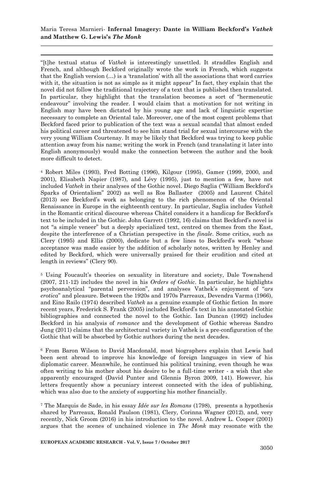1

"[t]he textual status of *Vathek* is interestingly unsettled. It straddles English and French, and although Beckford originally wrote the work in French, which suggests that the English version (…) is a "translation" with all the associations that word carries with it, the situation is not as simple as it might appear" In fact, they explain that the novel did not follow the traditional trajectory of a text that is published then translated. In particular, they highlight that the translation becomes a sort of "hermeneutic endeavour" involving the reader. I would claim that a motivation for not writing in English may have been dictated by his young age and lack of linguistic expertise necessary to complete an Oriental tale. Moreover, one of the most cogent problems that Beckford faced prior to publication of the text was a sexual scandal that almost ended his political career and threatened to see him stand trial for sexual intercourse with the very young William Courtenay. It may be likely that Beckford was trying to keep public attention away from his name; writing the work in French (and translating it later into English anonymously) would make the connection between the author and the book more difficult to detect.

<sup>4</sup> Robert Miles (1993), Fred Botting (1996), Kilgour (1995), Gamer (1999, 2000, and 2001), Elisabeth Napier (1987), and Lévy (1995), just to mention a few, have not included *Vathek* in their analyses of the Gothic novel. Diego Saglia ("William Beckford"s Sparks of Orientalism" 2002) as well as Ros Ballaster (2005) and Laurent Châtel (2013) see Beckford"s work as belonging to the rich phenomenon of the Oriental Renaissance in Europe in the eighteenth century. In particular, Saglia includes *Vathek* in the Romantic critical discourse whereas Châtel considers it a handicap for Beckford"s text to be included in the Gothic. John Garrett (1992, 16) claims that Beckford"s novel is not "a simple veneer" but a deeply specialized text, centred on themes from the East, despite the interference of a Christian perspective in the *finale*. Some critics, such as Clery (1995) and Ellis (2000), dedicate but a few lines to Beckford"s work "whose acceptance was made easier by the addition of scholarly notes, written by Henley and edited by Beckford, which were universally praised for their erudition and cited at length in reviews" (Clery 90).

<sup>5</sup> Using Foucault's theories on sexuality in literature and society, Dale Townshend (2007, 211-12) includes the novel in his *Orders of Gothic*. In particular, he highlights psychoanalytical "parental perversion", and analyses Vathek"s enjoyment of "*ars erotica*" and pleasure. Between the 1920s and 1970s Parreaux, Devendra Varma (1966), and Eino Railo (1974) described *Vathek* as a genuine example of Gothic fiction In more recent years, Frederick S. Frank (2005) included Beckford"s text in his annotated Gothic bibliographies and connected the novel to the Gothic. Ian Duncan (1992) includes Beckford in his analysis of *romance* and the development of Gothic whereas Sandro Jung (2011) claims that the architectural variety in Vathek is a pre-configuration of the Gothic that will be absorbed by Gothic authors during the next decades.

<sup>6</sup> From Baron Wilson to David Macdonald, most biographers explain that Lewis had been sent abroad to improve his knowledge of foreign languages in view of his diplomatic career. Meanwhile, he continued his political training, even though he was often writing to his mother about his desire to be a full-time writer - a wish that she apparently encouraged (David Punter and Glennis Byron 2009, 141). However, his letters frequently show a pecuniary interest connected with the idea of publishing, which was also due to the anxiety of supporting his mother financially.

<sup>7</sup> The Marquis de Sade, in his essay *Idée sur les Romans* (1798), presents a hypothesis shared by Parreaux, Ronald Paulson (1981), Clery, Corinna Wagner (2012), and, very recently, Nick Groom (2016) in his introduction to the novel. Andrew L. Cooper (2001) argues that the scenes of unchained violence in *The Monk* may resonate with the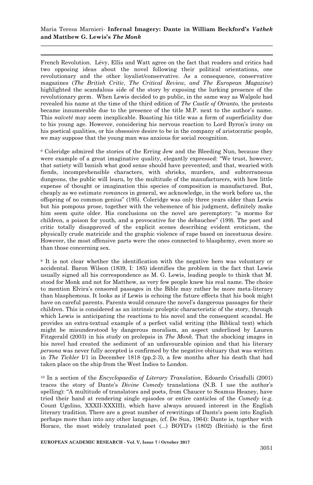1 French Revolution. Lévy, Ellis and Watt agree on the fact that readers and critics had two opposing ideas about the novel following their political orientations, one revolutionary and the other loyalist/conservative. As a consequence, conservative magazines (*The British Critic, The Critical Review, and The European Magazine*) highlighted the scandalous side of the story by exposing the lurking presence of the revolutionary germ. When Lewis decided to go public, in the same way as Walpole had revealed his name at the time of the third edition of *The Castle of Otranto,* the protests became innumerable due to the presence of the title M.P. next to the author's name. This *naïveté* may seem inexplicable. Boasting his title was a form of superficiality due to his young age. However, considering his nervous reaction to Lord Byron"s irony on his poetical qualities, or his obsessive desire to be in the company of aristocratic people, we may suppose that the young man was anxious for social recognition.

<sup>8</sup> Coleridge admired the stories of the Erring Jew and the Bleeding Nun, because they were example of a great imaginative quality, elegantly expressed: "We trust, however, that satiety will banish what good sense should have prevented; and that, wearied with fiends, incomprehensible characters, with shrieks, murders, and subterraneous dungeons, the public will learn, by the multitude of the manufacturers, with how little expense of thought or imagination this species of composition is manufactured. But, cheaply as we estimate *romances* in general, we acknowledge, in the work before us, the offspring of no common genius" (195). Coleridge was only three years older than Lewis but his pompous prose, together with the vehemence of his judgment, definitely make him seem quite older. His conclusions on the novel are peremptory: "a mormo for children, a poison for youth, and a provocative for the debauchee" (199). The poet and critic totally disapproved of the explicit scenes describing evident eroticism, the physically crude matricide and the graphic violence of rape based on incestuous desire. However, the most offensive parts were the ones connected to blasphemy, even more so than those concerning sex.

<sup>9</sup> It is not clear whether the identification with the negative hero was voluntary or accidental. Baron Wilson (1839, I: 185) identifies the problem in the fact that Lewis usually signed all his correspondence as M. G. Lewis, leading people to think that M. stood for Monk and not for Matthew, as very few people knew his real name. The choice to mention Elvira"s censored passages in the Bible may rather be more meta-literary than blasphemous. It looks as if Lewis is echoing the future effects that his book might have on careful parents. Parents would censure the novel's dangerous passages for their children. This is considered as an intrinsic proleptic characteristic of the story, through which Lewis is anticipating the reactions to his novel and the consequent scandal. He provides an extra-textual example of a perfect valid writing (the Biblical text) which might be misunderstood by dangerous moralism, an aspect underlined by Lauren Fitzgerald (2003) in his study on prolepsis in *The Monk.* That the shocking images in his novel had created the sediment of an unfavourable opinion and that his literary *persona* was never fully accepted is confirmed by the negative obituary that was written in *The Tickler* I/1 in December 1818 (pp.2-3), a few months after his death that had taken place on the ship from the West Indies to London.

<sup>10</sup> In a section of the *Encyclopaedia of Literary Translation*, Edoardo Crisafulli (2001) traces the story of Dante's *Divine Comedy* translations (N.B. I use the author's spelling): "A multitude of translators and poets, from Chaucer to Seamus Heaney, have tried their hand at rendering single episodes or entire canticles of the *Comedy* (e.g. Count Ugolino, XXXII-XXXIII), which have always aroused interest in the English literary tradition. There are a great number of rewritings of Dante's poem into English perhaps more than into any other language, (cf. De Sua, 1964): Dante is, together with Horace, the most widely translated poet (...) BOYD"s (1802) (British) is the first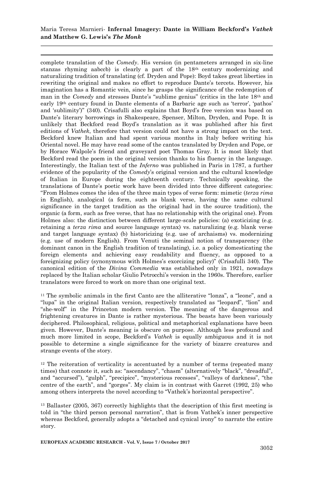1

complete translation of the *Comedy*. His version (in pentameters arranged in six-line stanzas rhyming aabccb) is clearly a part of the 18th century modernizing and naturalizing tradition of translating (cf. Dryden and Pope): Boyd takes great liberties in rewriting the original and makes no effort to reproduce Dante's tercets. However, his imagination has a Romantic vein, since he grasps the significance of the redemption of man in the *Comedy* and stresses Dante's "sublime genius" (critics in the late 18<sup>th</sup> and early 19th century found in Dante elements of a Barbaric age such as "terror", "pathos" and 'sublimity')" (340). Crisafulli also explains that Boyd's free version was based on Dante"s literary borrowings in Shakespeare, Spenser, Milton, Dryden, and Pope. It is unlikely that Beckford read Boyd"s translation as it was published after his first editions of *Vathek*, therefore that version could not have a strong impact on the text. Beckford knew Italian and had spent various months in Italy before writing his Oriental novel. He may have read some of the cantos translated by Dryden and Pope, or by Horace Walpole"s friend and graveyard poet Thomas Gray. It is most likely that Beckford read the poem in the original version thanks to his fluency in the language. Interestingly, the Italian text of the *Inferno* was published in Paris in 1787, a further evidence of the popularity of the *Comedy*"s original version and the cultural knowledge of Italian in Europe during the eighteenth century. Technically speaking, the translations of Dante"s poetic work have been divided into three different categories: "From Holmes comes the idea of the three main types of verse form: mimetic (*terza rima* in English), analogical (a form, such as blank verse, having the same cultural significance in the target tradition as the original had in the source tradition), the organic (a form, such as free verse, that has no relationship with the original one). From Holmes also: the distinction between different large-scale policies: (a) exoticizing (e.g. retaining a *terza rima* and source language syntax) vs. naturalizing (e.g. blank verse and target language syntax) (b) historicizing (e.g. use of archaisms) vs. modernizing (e.g. use of modern English). From Venuti the seminal notion of transparency (the dominant canon in the English tradition of translating), i.e. a policy domesticating the foreign elements and achieving easy readability and fluency, as opposed to a foreignizing policy (synonymous with Holmes"s exorcizing policy)" (Crisafulli 340). The canonical edition of the *Divina Commedia* was established only in 1921, nowadays replaced by the Italian scholar Giulio Petrocchi"s version in the 1960s. Therefore, earlier translators were forced to work on more than one original text.

 $11$  The symbolic animals in the first Canto are the alliterative "lonza", a "leone", and a "lupa" in the original Italian version, respectively translated as "leopard", "lion" and "she-wolf" in the Princeton modern version. The meaning of the dangerous and frightening creatures in Dante is rather mysterious. The beasts have been variously deciphered. Philosophical, religious, political and metaphorical explanations have been given. However, Dante"s meaning is obscure on purpose. Although less profound and much more limited in scope, Beckford"s *Vathek* is equally ambiguous and it is not possible to determine a single significance for the variety of bizarre creatures and strange events of the story.

<sup>12</sup> The reiteration of verticality is accentuated by a number of terms (repeated many times) that connote it, such as: "ascendancy", "chasm" (alternatively "black", "dreadful", and "accursed"), "gulph", "precipice", "mysterious recesses", "valleys of darkness", "the centre of the earth", and "gorges". My claim is in contrast with Garret (1992, 25) who among others interprets the novel according to "Vathek"s horizontal perspective".

<sup>13</sup> Ballaster (2005, 367) correctly highlights that the description of this first meeting is told in "the third person personal narration", that is from Vathek"s inner perspective whereas Beckford, generally adopts a "detached and cynical irony" to narrate the entire story.